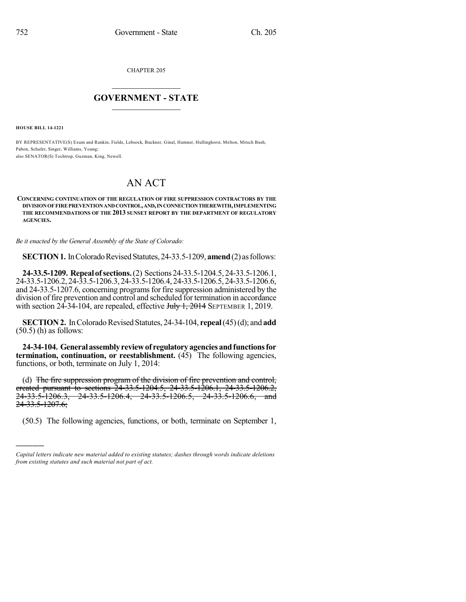CHAPTER 205

## $\mathcal{L}_\text{max}$  . The set of the set of the set of the set of the set of the set of the set of the set of the set of the set of the set of the set of the set of the set of the set of the set of the set of the set of the set **GOVERNMENT - STATE**  $\_$   $\_$   $\_$   $\_$   $\_$   $\_$   $\_$   $\_$   $\_$

**HOUSE BILL 14-1221**

)))))

BY REPRESENTATIVE(S) Exum and Rankin, Fields, Lebsock, Buckner, Ginal, Hamner, Hullinghorst, Melton, Mitsch Bush, Pabon, Schafer, Singer, Williams, Young; also SENATOR(S) Tochtrop, Guzman, King, Newell.

## AN ACT

## **CONCERNING CONTINUATION OF THE REGULATION OF FIRE SUPPRESSION CONTRACTORS BY THE DIVISIONOFFIREPREVENTIONANDCONTROL,AND,INCONNECTIONTHEREWITH,IMPLEMENTING THE RECOMMENDATIONS OF THE 2013 SUNSET REPORT BY THE DEPARTMENT OF REGULATORY AGENCIES.**

*Be it enacted by the General Assembly of the State of Colorado:*

**SECTION 1.** In Colorado Revised Statutes, 24-33.5-1209, **amend** (2) as follows:

**24-33.5-1209. Repeal ofsections.**(2) Sections24-33.5-1204.5, 24-33.5-1206.1, 24-33.5-1206.2, 24-33.5-1206.3, 24-33.5-1206.4, 24-33.5-1206.5, 24-33.5-1206.6, and 24-33.5-1207.6, concerning programs for fire suppression administered by the division of fire prevention and control and scheduled for termination in accordance with section  $24-34-104$ , are repealed, effective  $J_{\text{t}}/J_{\text{t}}$ ,  $2014$  SEPTEMBER 1, 2019.

**SECTION 2.** In Colorado Revised Statutes, 24-34-104, **repeal**(45)(d); and **add**  $(50.5)$  (h) as follows:

**24-34-104. Generalassemblyreviewof regulatoryagenciesandfunctionsfor termination, continuation, or reestablishment.** (45) The following agencies, functions, or both, terminate on July 1, 2014:

(d) The fire suppression program of the division of fire prevention and control, ereated pursuant to sections 24-33.5-1204.5, 24-33.5-1206.1, 24-33.5-1206.2,<br>24-33.5-1206.3, 24-33.5-1206.4, 24-33.5-1206.5, 24-33.5-1206.6, and 24-33.5-1206.3, 24-33.5-1206.4, 24-33.5-1206.5, 24-33.5-1206.6, and 24-33.5-1207.6;

(50.5) The following agencies, functions, or both, terminate on September 1,

*Capital letters indicate new material added to existing statutes; dashes through words indicate deletions from existing statutes and such material not part of act.*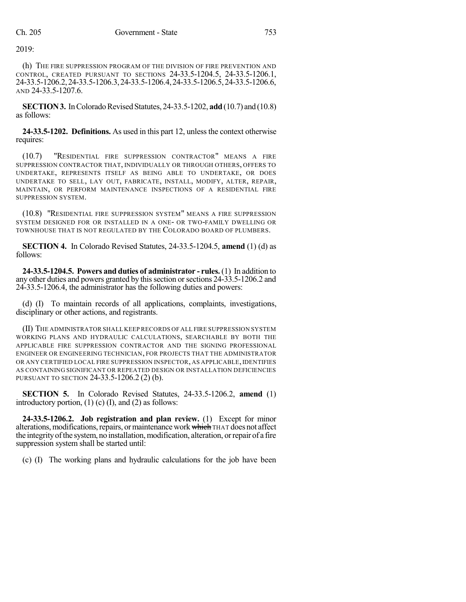2019:

(h) THE FIRE SUPPRESSION PROGRAM OF THE DIVISION OF FIRE PREVENTION AND CONTROL, CREATED PURSUANT TO SECTIONS 24-33.5-1204.5, 24-33.5-1206.1, 24-33.5-1206.2,24-33.5-1206.3,24-33.5-1206.4,24-33.5-1206.5,24-33.5-1206.6, AND 24-33.5-1207.6.

**SECTION 3.** In Colorado Revised Statutes, 24-33.5-1202, **add** (10.7) and (10.8) as follows:

24-33.5-1202. **Definitions.** As used in this part 12, unless the context otherwise requires:

(10.7) "RESIDENTIAL FIRE SUPPRESSION CONTRACTOR" MEANS A FIRE SUPPRESSION CONTRACTOR THAT, INDIVIDUALLY OR THROUGH OTHERS, OFFERS TO UNDERTAKE, REPRESENTS ITSELF AS BEING ABLE TO UNDERTAKE, OR DOES UNDERTAKE TO SELL, LAY OUT, FABRICATE, INSTALL, MODIFY, ALTER, REPAIR, MAINTAIN, OR PERFORM MAINTENANCE INSPECTIONS OF A RESIDENTIAL FIRE SUPPRESSION SYSTEM.

(10.8) "RESIDENTIAL FIRE SUPPRESSION SYSTEM" MEANS A FIRE SUPPRESSION SYSTEM DESIGNED FOR OR INSTALLED IN A ONE- OR TWO-FAMILY DWELLING OR TOWNHOUSE THAT IS NOT REGULATED BY THE COLORADO BOARD OF PLUMBERS.

**SECTION 4.** In Colorado Revised Statutes, 24-33.5-1204.5, **amend** (1) (d) as follows:

**24-33.5-1204.5. Powers and duties of administrator - rules.** (1) In addition to any other duties and powers granted by this section or sections 24-33.5-1206.2 and 24-33.5-1206.4, the administrator has the following duties and powers:

(d) (I) To maintain records of all applications, complaints, investigations, disciplinary or other actions, and registrants.

(II) THE ADMINISTRATOR SHALL KEEP RECORDS OF ALL FIRE SUPPRESSION SYSTEM WORKING PLANS AND HYDRAULIC CALCULATIONS, SEARCHABLE BY BOTH THE APPLICABLE FIRE SUPPRESSION CONTRACTOR AND THE SIGNING PROFESSIONAL ENGINEER OR ENGINEERING TECHNICIAN, FOR PROJECTS THAT THE ADMINISTRATOR OR ANY CERTIFIED LOCAL FIRE SUPPRESSION INSPECTOR, AS APPLICABLE,IDENTIFIES AS CONTAINING SIGNIFICANT OR REPEATED DESIGN OR INSTALLATION DEFICIENCIES PURSUANT TO SECTION 24-33.5-1206.2 (2) (b).

**SECTION 5.** In Colorado Revised Statutes, 24-33.5-1206.2, **amend** (1) introductory portion,  $(1)$  (c)  $(I)$ , and  $(2)$  as follows:

**24-33.5-1206.2. Job registration and plan review.** (1) Except for minor alterations, modifications, repairs, or maintenance work which THAT does not affect the integrity of the system, no installation, modification, alteration, or repair of a fire suppression system shall be started until:

(c) (I) The working plans and hydraulic calculations for the job have been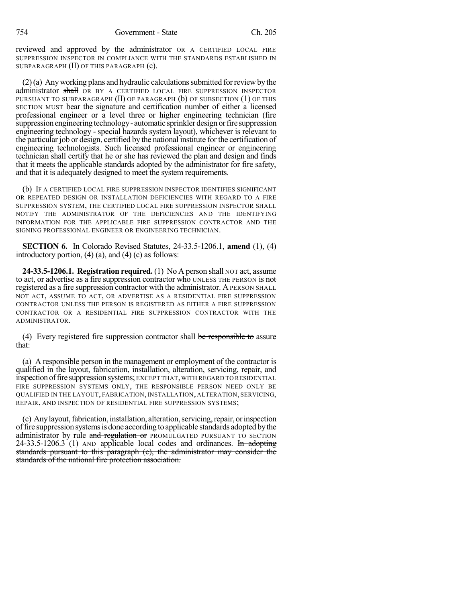reviewed and approved by the administrator OR A CERTIFIED LOCAL FIRE SUPPRESSION INSPECTOR IN COMPLIANCE WITH THE STANDARDS ESTABLISHED IN SUBPARAGRAPH (II) OF THIS PARAGRAPH (c).

 $(2)$ (a) Any working plans and hydraulic calculations submitted for review by the administrator shall OR BY A CERTIFIED LOCAL FIRE SUPPRESSION INSPECTOR PURSUANT TO SUBPARAGRAPH (II) OF PARAGRAPH (b) OF SUBSECTION (1) OF THIS SECTION MUST bear the signature and certification number of either a licensed professional engineer or a level three or higher engineering technician (fire suppression engineering technology - automatic sprinkler design or fire suppression engineering technology - special hazards system layout), whichever is relevant to the particular job or design, certified by the national institute for the certification of engineering technologists. Such licensed professional engineer or engineering technician shall certify that he or she has reviewed the plan and design and finds that it meets the applicable standards adopted by the administrator for fire safety, and that it is adequately designed to meet the system requirements.

(b) IF A CERTIFIED LOCAL FIRE SUPPRESSION INSPECTOR IDENTIFIES SIGNIFICANT OR REPEATED DESIGN OR INSTALLATION DEFICIENCIES WITH REGARD TO A FIRE SUPPRESSION SYSTEM, THE CERTIFIED LOCAL FIRE SUPPRESSION INSPECTOR SHALL NOTIFY THE ADMINISTRATOR OF THE DEFICIENCIES AND THE IDENTIFYING INFORMATION FOR THE APPLICABLE FIRE SUPPRESSION CONTRACTOR AND THE SIGNING PROFESSIONAL ENGINEER OR ENGINEERING TECHNICIAN.

**SECTION 6.** In Colorado Revised Statutes, 24-33.5-1206.1, **amend** (1), (4) introductory portion,  $(4)$   $(a)$ , and  $(4)$   $(c)$  as follows:

**24-33.5-1206.1. Registration required.** (1) No A person shall NOT act, assume to act, or advertise as a fire suppression contractor who UNLESS THE PERSON is not registered as a fire suppression contractor with the administrator. A PERSON SHALL NOT ACT, ASSUME TO ACT, OR ADVERTISE AS A RESIDENTIAL FIRE SUPPRESSION CONTRACTOR UNLESS THE PERSON IS REGISTERED AS EITHER A FIRE SUPPRESSION CONTRACTOR OR A RESIDENTIAL FIRE SUPPRESSION CONTRACTOR WITH THE ADMINISTRATOR.

(4) Every registered fire suppression contractor shall be responsible to assure that:

(a) A responsible person in the management or employment of the contractor is qualified in the layout, fabrication, installation, alteration, servicing, repair, and inspection of fire suppression systems; EXCEPT THAT, WITH REGARD TO RESIDENTIAL FIRE SUPPRESSION SYSTEMS ONLY, THE RESPONSIBLE PERSON NEED ONLY BE QUALIFIED IN THE LAYOUT, FABRICATION, INSTALLATION, ALTERATION, SERVICING, REPAIR, AND INSPECTION OF RESIDENTIAL FIRE SUPPRESSION SYSTEMS;

(c) Any layout, fabrication, installation, alteration, servicing, repair, or inspection offire suppression systemsis done according to applicable standards adopted bythe administrator by rule and regulation or PROMULGATED PURSUANT TO SECTION 24-33.5-1206.3 (1) AND applicable local codes and ordinances. In adopting standards pursuant to this paragraph (c), the administrator may consider the standards of the national fire protection association.